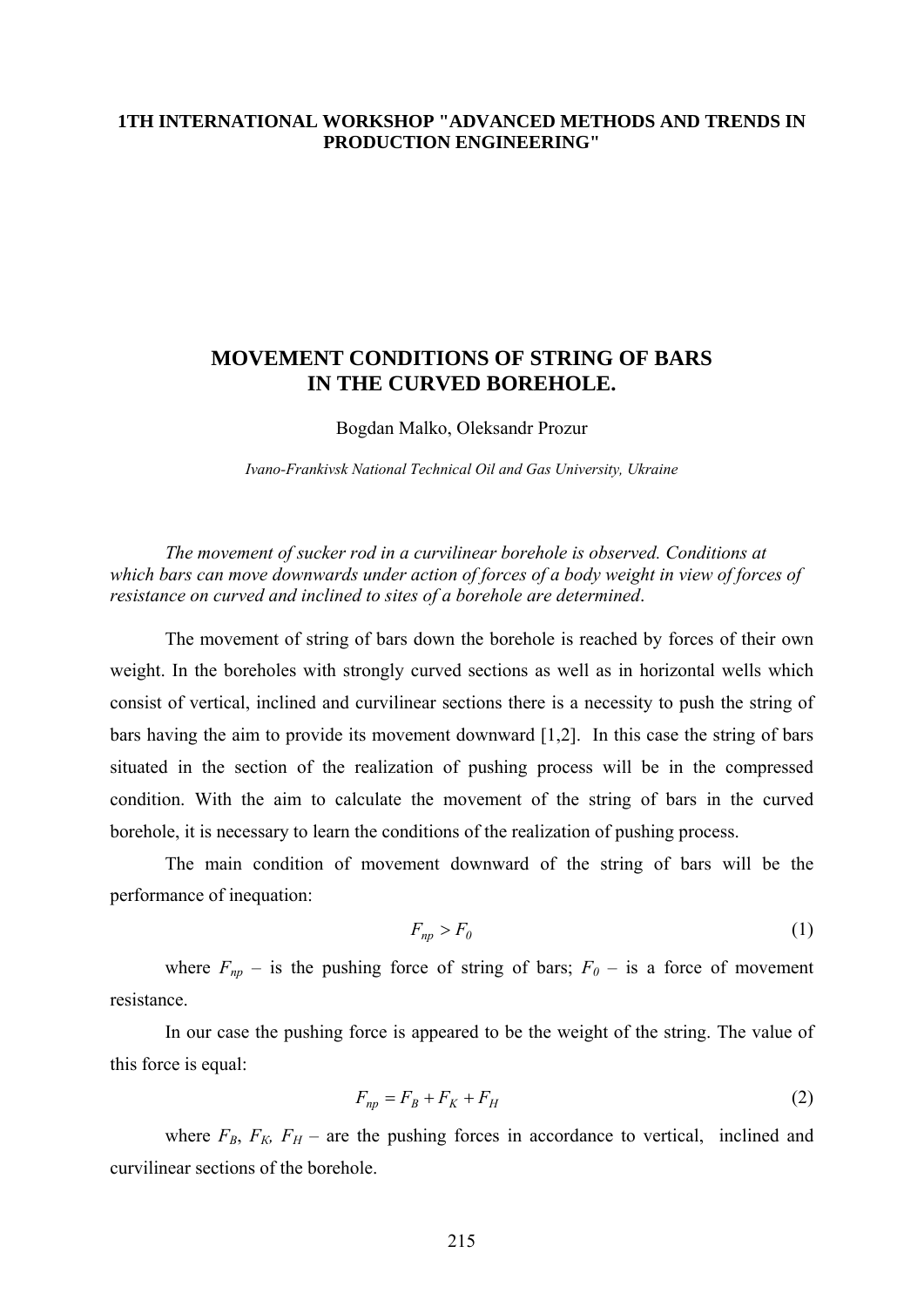## **1TH INTERNATIONAL WORKSHOP "ADVANCED METHODS AND TRENDS IN PRODUCTION ENGINEERING"**

## **MOVEMENT CONDITIONS OF STRING OF BARS IN THE CURVED BOREHOLE.**

Bogdan Malko, Oleksandr Prozur

*Ivano-Frankivsk National Technical Oil and Gas University, Ukraine* 

*The movement of sucker rod in a curvilinear borehole is observed. Conditions at which bars can move downwards under action of forces of a body weight in view of forces of resistance on curved and inclined to sites of a borehole are determined*.

The movement of string of bars down the borehole is reached by forces of their own weight. In the boreholes with strongly curved sections as well as in horizontal wells which consist of vertical, inclined and curvilinear sections there is a necessity to push the string of bars having the aim to provide its movement downward [1,2]. In this case the string of bars situated in the section of the realization of pushing process will be in the compressed condition. With the aim to calculate the movement of the string of bars in the curved borehole, it is necessary to learn the conditions of the realization of pushing process.

The main condition of movement downward of the string of bars will be the performance of inequation:

$$
F_{np} > F_0 \tag{1}
$$

where  $F_{np}$  – is the pushing force of string of bars;  $F_0$  – is a force of movement resistance.

In our case the pushing force is appeared to be the weight of the string. The value of this force is equal:

$$
F_{np} = F_B + F_K + F_H \tag{2}
$$

where  $F_B$ ,  $F_K$ ,  $F_H$  – are the pushing forces in accordance to vertical, inclined and curvilinear sections of the borehole.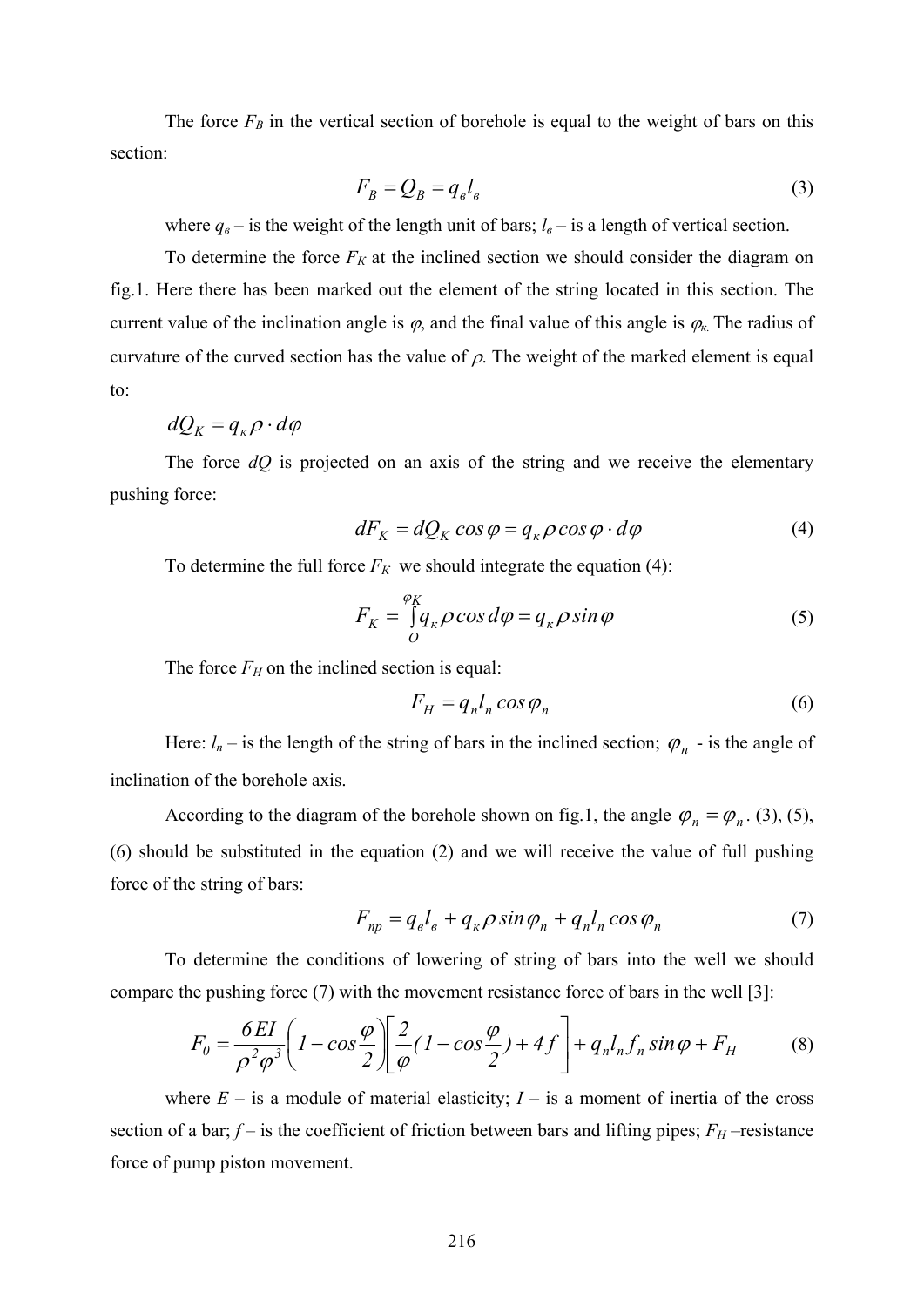The force  $F_B$  in the vertical section of borehole is equal to the weight of bars on this section:

$$
F_B = Q_B = q_e l_e \tag{3}
$$

where  $q_{\theta}$  – is the weight of the length unit of bars;  $l_{\theta}$  – is a length of vertical section.

To determine the force  $F_K$  at the inclined section we should consider the diagram on fig.1. Here there has been marked out the element of the string located in this section. The current value of the inclination angle is  $\varphi$ , and the final value of this angle is  $\varphi$ <sub>*k*</sub>. The radius of curvature of the curved section has the value of  $\rho$ . The weight of the marked element is equal to:

$$
dQ_K = q_{\kappa} \rho \cdot d\varphi
$$

The force  $dQ$  is projected on an axis of the string and we receive the elementary pushing force:

$$
dF_K = dQ_K \cos \varphi = q_\kappa \rho \cos \varphi \cdot d\varphi \tag{4}
$$

To determine the full force  $F_K$  we should integrate the equation (4):

$$
F_K = \int\limits_{O}^{\varphi_K} q_{\kappa} \rho \cos d\varphi = q_{\kappa} \rho \sin \varphi \tag{5}
$$

The force  $F_H$  on the inclined section is equal:

$$
F_H = q_n l_n \cos \varphi_n \tag{6}
$$

Here:  $l_n$  – is the length of the string of bars in the inclined section;  $\varphi_n$  - is the angle of inclination of the borehole axis.

According to the diagram of the borehole shown on fig.1, the angle  $\varphi_n = \varphi_n$ . (3), (5), (6) should be substituted in the equation (2) and we will receive the value of full pushing force of the string of bars:

$$
F_{np} = q_e l_e + q_{\kappa} \rho \sin \varphi_n + q_n l_n \cos \varphi_n \tag{7}
$$

To determine the conditions of lowering of string of bars into the well we should compare the pushing force (7) with the movement resistance force of bars in the well [3]:

$$
F_0 = \frac{6EI}{\rho^2 \varphi^3} \left( 1 - \cos \frac{\varphi}{2} \right) \left[ \frac{2}{\varphi} (1 - \cos \frac{\varphi}{2}) + 4f \right] + q_n l_n f_n \sin \varphi + F_H \tag{8}
$$

where  $E -$  is a module of material elasticity;  $I -$  is a moment of inertia of the cross section of a bar;  $f$  – is the coefficient of friction between bars and lifting pipes;  $F_H$  –resistance force of pump piston movement.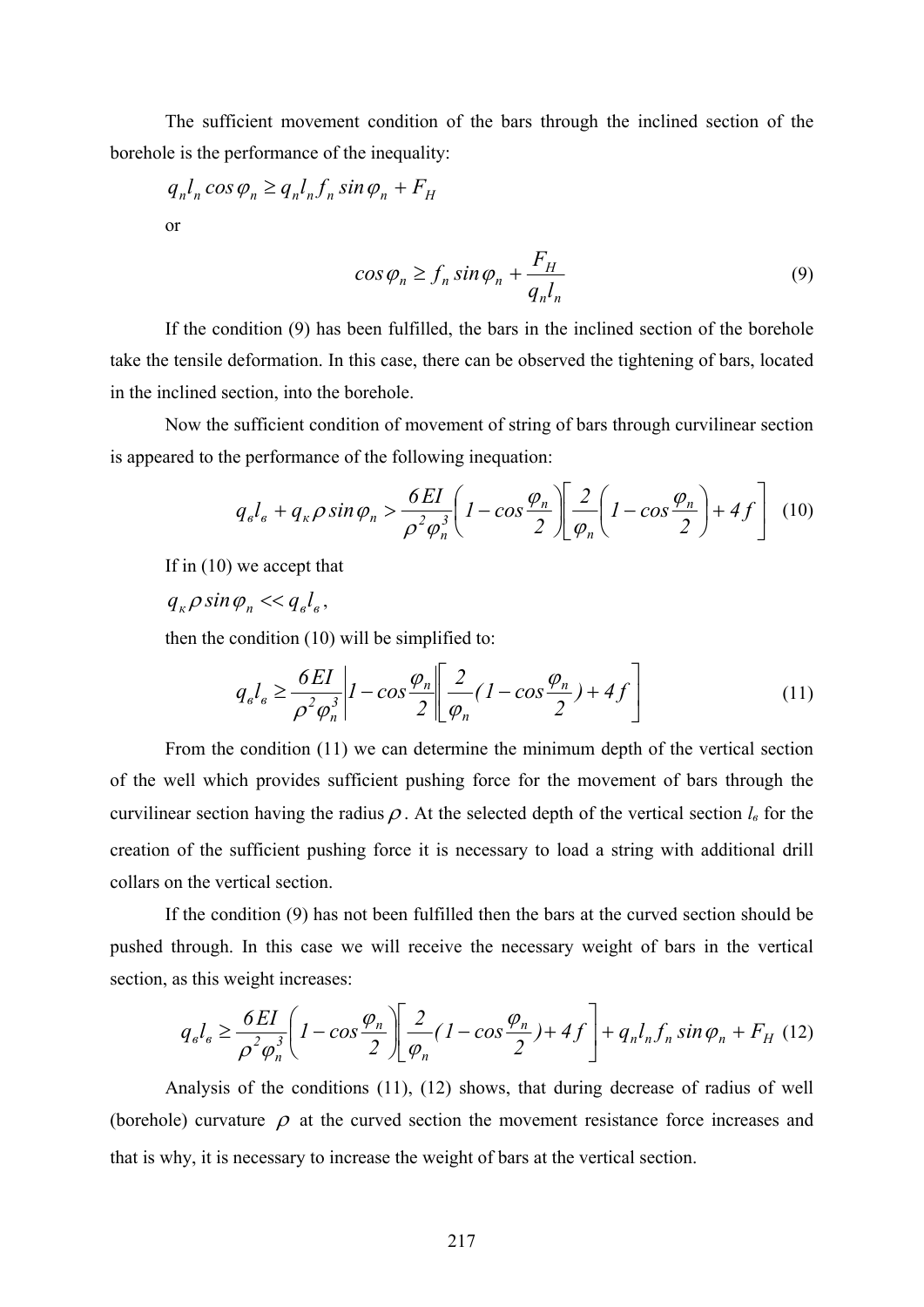The sufficient movement condition of the bars through the inclined section of the borehole is the performance of the inequality:

 $q_n l_n \cos \varphi_n \geq q_n l_n f_n \sin \varphi_n + F_H$ or

$$
\cos \varphi_n \ge f_n \sin \varphi_n + \frac{F_H}{q_n l_n} \tag{9}
$$

If the condition (9) has been fulfilled, the bars in the inclined section of the borehole take the tensile deformation. In this case, there can be observed the tightening of bars, located in the inclined section, into the borehole.

Now the sufficient condition of movement of string of bars through curvilinear section is appeared to the performance of the following inequation:

$$
q_{e}l_{e} + q_{\kappa}\rho\sin\varphi_{n} > \frac{6EI}{\rho^{2}\varphi_{n}^{3}} \left(1 - \cos\frac{\varphi_{n}}{2}\right) \left[\frac{2}{\varphi_{n}}\left(1 - \cos\frac{\varphi_{n}}{2}\right) + 4f\right]
$$
 (10)

If in (10) we accept that

 $q_{\nu} \rho \sin \varphi_{n} \ll q_{e} l_{e}$ 

then the condition (10) will be simplified to:

$$
q_{e}l_{e} \ge \frac{6EI}{\rho^{2}\varphi_{n}^{3}} \bigg| I - \cos\frac{\varphi_{n}}{2} \bigg| \bigg[ \frac{2}{\varphi_{n}} (1 - \cos\frac{\varphi_{n}}{2}) + 4f \bigg] \tag{11}
$$

From the condition (11) we can determine the minimum depth of the vertical section of the well which provides sufficient pushing force for the movement of bars through the curvilinear section having the radius  $\rho$ . At the selected depth of the vertical section  $l_{\beta}$  for the creation of the sufficient pushing force it is necessary to load a string with additional drill collars on the vertical section.

If the condition (9) has not been fulfilled then the bars at the curved section should be pushed through. In this case we will receive the necessary weight of bars in the vertical section, as this weight increases:

$$
q_{\epsilon}l_{\epsilon} \ge \frac{6EI}{\rho^2 \varphi_n^3} \left( 1 - \cos \frac{\varphi_n}{2} \right) \left[ \frac{2}{\varphi_n} (1 - \cos \frac{\varphi_n}{2}) + 4f \right] + q_n l_n f_n \sin \varphi_n + F_H \tag{12}
$$

Analysis of the conditions (11), (12) shows, that during decrease of radius of well (borehole) curvature  $\rho$  at the curved section the movement resistance force increases and that is why, it is necessary to increase the weight of bars at the vertical section.